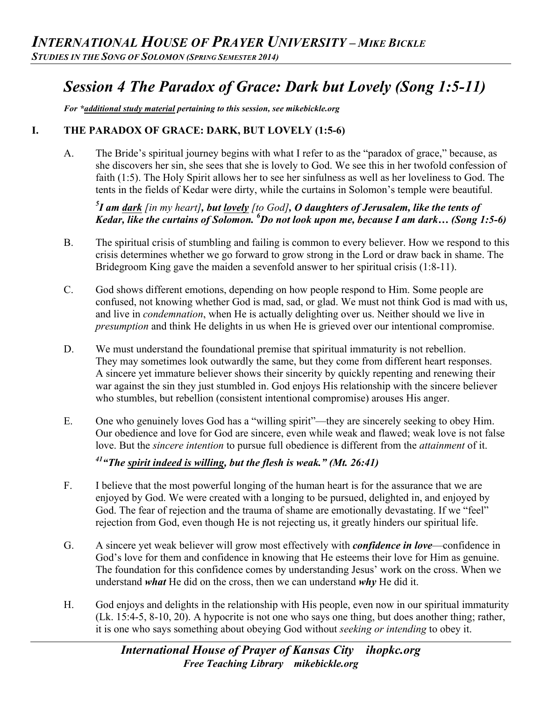# *Session 4 The Paradox of Grace: Dark but Lovely (Song 1:5-11)*

*For \*additional study material pertaining to this session, see mikebickle.org* 

#### **I. THE PARADOX OF GRACE: DARK, BUT LOVELY (1:5-6)**

A. The Bride's spiritual journey begins with what I refer to as the "paradox of grace," because, as she discovers her sin, she sees that she is lovely to God. We see this in her twofold confession of faith (1:5). The Holy Spirit allows her to see her sinfulness as well as her loveliness to God. The tents in the fields of Kedar were dirty, while the curtains in Solomon's temple were beautiful.

## *5 I am dark [in my heart], but lovely [to God], O daughters of Jerusalem, like the tents of Kedar, like the curtains of Solomon. <sup>6</sup> Do not look upon me, because I am dark… (Song 1:5-6)*

- B. The spiritual crisis of stumbling and failing is common to every believer. How we respond to this crisis determines whether we go forward to grow strong in the Lord or draw back in shame. The Bridegroom King gave the maiden a sevenfold answer to her spiritual crisis (1:8-11).
- C. God shows different emotions, depending on how people respond to Him. Some people are confused, not knowing whether God is mad, sad, or glad. We must not think God is mad with us, and live in *condemnation*, when He is actually delighting over us. Neither should we live in *presumption* and think He delights in us when He is grieved over our intentional compromise.
- D. We must understand the foundational premise that spiritual immaturity is not rebellion. They may sometimes look outwardly the same, but they come from different heart responses. A sincere yet immature believer shows their sincerity by quickly repenting and renewing their war against the sin they just stumbled in. God enjoys His relationship with the sincere believer who stumbles, but rebellion (consistent intentional compromise) arouses His anger.
- E. One who genuinely loves God has a "willing spirit"—they are sincerely seeking to obey Him. Our obedience and love for God are sincere, even while weak and flawed; weak love is not false love. But the *sincere intention* to pursue full obedience is different from the *attainment* of it.

*41"The spirit indeed is willing, but the flesh is weak." (Mt. 26:41)*

- F. I believe that the most powerful longing of the human heart is for the assurance that we are enjoyed by God. We were created with a longing to be pursued, delighted in, and enjoyed by God. The fear of rejection and the trauma of shame are emotionally devastating. If we "feel" rejection from God, even though He is not rejecting us, it greatly hinders our spiritual life.
- G. A sincere yet weak believer will grow most effectively with *confidence in love*—confidence in God's love for them and confidence in knowing that He esteems their love for Him as genuine. The foundation for this confidence comes by understanding Jesus' work on the cross. When we understand *what* He did on the cross, then we can understand *why* He did it.
- H. God enjoys and delights in the relationship with His people, even now in our spiritual immaturity (Lk. 15:4-5, 8-10, 20). A hypocrite is not one who says one thing, but does another thing; rather, it is one who says something about obeying God without *seeking or intending* to obey it.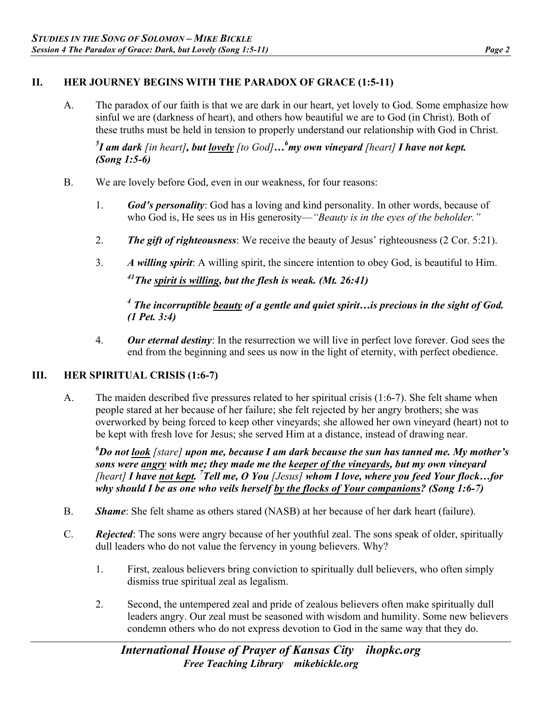### **II. HER JOURNEY BEGINS WITH THE PARADOX OF GRACE (1:5-11)**

A. The paradox of our faith is that we are dark in our heart, yet lovely to God. Some emphasize how sinful we are (darkness of heart), and others how beautiful we are to God (in Christ). Both of these truths must be held in tension to properly understand our relationship with God in Christ.

*5 I am dark [in heart], but lovely [to God]…6 my own vineyard [heart] I have not kept. (Song 1:5-6)*

- B. We are lovely before God, even in our weakness, for four reasons:
	- 1. *God's personality*: God has a loving and kind personality. In other words, because of who God is, He sees us in His generosity—*"Beauty is in the eyes of the beholder.*"
	- 2. *The gift of righteousness*: We receive the beauty of Jesus' righteousness (2 Cor. 5:21).
	- 3. *A willing spirit*: A willing spirit, the sincere intention to obey God, is beautiful to Him. *41The spirit is willing, but the flesh is weak. (Mt. 26:41)*

## *<sup>4</sup> The incorruptible beauty of a gentle and quiet spirit…is precious in the sight of God. (1 Pet. 3:4)*

4. *Our eternal destiny*: In the resurrection we will live in perfect love forever. God sees the end from the beginning and sees us now in the light of eternity, with perfect obedience.

## **III. HER SPIRITUAL CRISIS (1:6-7)**

A. The maiden described five pressures related to her spiritual crisis (1:6-7). She felt shame when people stared at her because of her failure; she felt rejected by her angry brothers; she was overworked by being forced to keep other vineyards; she allowed her own vineyard (heart) not to be kept with fresh love for Jesus; she served Him at a distance, instead of drawing near.

*6 Do not look [stare] upon me, because I am dark because the sun has tanned me. My mother's sons were angry with me; they made me the keeper of the vineyards, but my own vineyard [heart] I have not kept. 7 Tell me, O You [Jesus] whom I love, where you feed Your flock…for why should I be as one who veils herself by the flocks of Your companions? (Song 1:6-7)* 

- B. *Shame*: She felt shame as others stared (NASB) at her because of her dark heart (failure).
- C. *Rejected*: The sons were angry because of her youthful zeal. The sons speak of older, spiritually dull leaders who do not value the fervency in young believers. Why?
	- 1. First, zealous believers bring conviction to spiritually dull believers, who often simply dismiss true spiritual zeal as legalism.
	- 2. Second, the untempered zeal and pride of zealous believers often make spiritually dull leaders angry. Our zeal must be seasoned with wisdom and humility. Some new believers condemn others who do not express devotion to God in the same way that they do.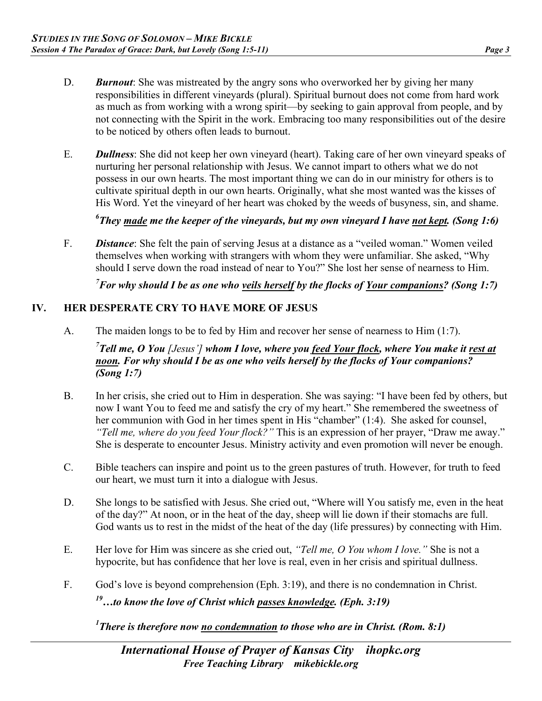- D. *Burnout*: She was mistreated by the angry sons who overworked her by giving her many responsibilities in different vineyards (plural). Spiritual burnout does not come from hard work as much as from working with a wrong spirit—by seeking to gain approval from people, and by not connecting with the Spirit in the work. Embracing too many responsibilities out of the desire to be noticed by others often leads to burnout.
- E. *Dullness*: She did not keep her own vineyard (heart). Taking care of her own vineyard speaks of nurturing her personal relationship with Jesus. We cannot impart to others what we do not possess in our own hearts. The most important thing we can do in our ministry for others is to cultivate spiritual depth in our own hearts. Originally, what she most wanted was the kisses of His Word. Yet the vineyard of her heart was choked by the weeds of busyness, sin, and shame.

*6 They made me the keeper of the vineyards, but my own vineyard I have not kept. (Song 1:6)* 

F. *Distance*: She felt the pain of serving Jesus at a distance as a "veiled woman." Women veiled themselves when working with strangers with whom they were unfamiliar. She asked, "Why should I serve down the road instead of near to You?" She lost her sense of nearness to Him.

*7 For why should I be as one who veils herself by the flocks of Your companions? (Song 1:7)* 

#### **IV. HER DESPERATE CRY TO HAVE MORE OF JESUS**

A. The maiden longs to be to fed by Him and recover her sense of nearness to Him (1:7).

<sup>7</sup> Tell me, O You [Jesus'] whom I love, where you <u>feed Your flock</u>, where You make it <u>rest at</u> *noon. For why should I be as one who veils herself by the flocks of Your companions? (Song 1:7)* 

- B. In her crisis, she cried out to Him in desperation. She was saying: "I have been fed by others, but now I want You to feed me and satisfy the cry of my heart." She remembered the sweetness of her communion with God in her times spent in His "chamber" (1:4). She asked for counsel, *"Tell me, where do you feed Your flock?"* This is an expression of her prayer, "Draw me away." She is desperate to encounter Jesus. Ministry activity and even promotion will never be enough.
- C. Bible teachers can inspire and point us to the green pastures of truth. However, for truth to feed our heart, we must turn it into a dialogue with Jesus.
- D. She longs to be satisfied with Jesus. She cried out, "Where will You satisfy me, even in the heat of the day?" At noon, or in the heat of the day, sheep will lie down if their stomachs are full. God wants us to rest in the midst of the heat of the day (life pressures) by connecting with Him.
- E. Her love for Him was sincere as she cried out, *"Tell me, O You whom I love."* She is not a hypocrite, but has confidence that her love is real, even in her crisis and spiritual dullness.
- F. God's love is beyond comprehension (Eph. 3:19), and there is no condemnation in Christ.

*19…to know the love of Christ which passes knowledge. (Eph. 3:19)* 

*1 There is therefore now no condemnation to those who are in Christ. (Rom. 8:1)*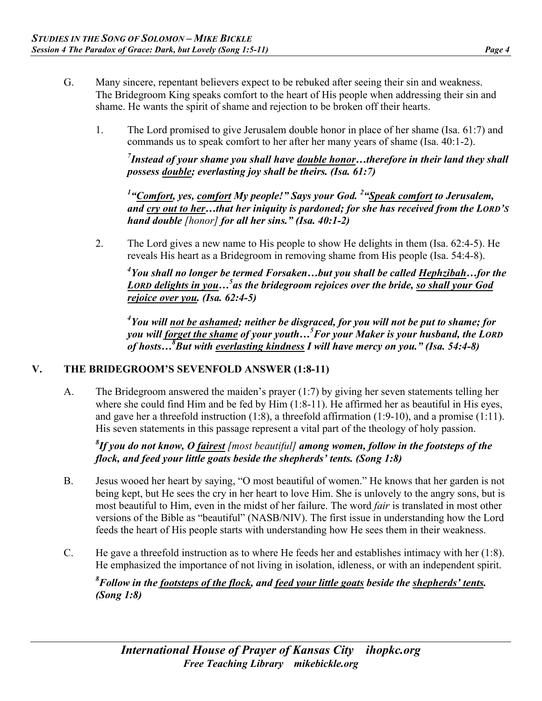- G. Many sincere, repentant believers expect to be rebuked after seeing their sin and weakness. The Bridegroom King speaks comfort to the heart of His people when addressing their sin and shame. He wants the spirit of shame and rejection to be broken off their hearts.
	- 1. The Lord promised to give Jerusalem double honor in place of her shame (Isa. 61:7) and commands us to speak comfort to her after her many years of shame (Isa. 40:1-2).

*7 Instead of your shame you shall have double honor…therefore in their land they shall possess double; everlasting joy shall be theirs. (Isa. 61:7)* 

*1 "Comfort, yes, comfort My people!" Says your God. 2 "Speak comfort to Jerusalem, and cry out to her…that her iniquity is pardoned; for she has received from the LORD'S hand double [honor] for all her sins." (Isa. 40:1-2)*

2. The Lord gives a new name to His people to show He delights in them (Isa. 62:4-5). He reveals His heart as a Bridegroom in removing shame from His people (Isa. 54:4-8).

*4 You shall no longer be termed Forsaken…but you shall be called Hephzibah…for the*  LORD delights in you...<sup>5</sup> as the bridegroom rejoices over the bride, so shall your God *rejoice over you. (Isa. 62:4-5)*

*4 You will not be ashamed; neither be disgraced, for you will not be put to shame; for you will forget the shame of your youth…5 For your Maker is your husband, the LORD of hosts…8 But with everlasting kindness I will have mercy on you." (Isa. 54:4-8)*

## **V. THE BRIDEGROOM'S SEVENFOLD ANSWER (1:8-11)**

A. The Bridegroom answered the maiden's prayer (1:7) by giving her seven statements telling her where she could find Him and be fed by Him (1:8-11). He affirmed her as beautiful in His eyes, and gave her a threefold instruction (1:8), a threefold affirmation (1:9-10), and a promise (1:11). His seven statements in this passage represent a vital part of the theology of holy passion.

*8 If you do not know, O fairest [most beautiful] among women, follow in the footsteps of the flock, and feed your little goats beside the shepherds' tents. (Song 1:8)* 

- B. Jesus wooed her heart by saying, "O most beautiful of women." He knows that her garden is not being kept, but He sees the cry in her heart to love Him. She is unlovely to the angry sons, but is most beautiful to Him, even in the midst of her failure. The word *fair* is translated in most other versions of the Bible as "beautiful" (NASB/NIV). The first issue in understanding how the Lord feeds the heart of His people starts with understanding how He sees them in their weakness.
- C. He gave a threefold instruction as to where He feeds her and establishes intimacy with her (1:8). He emphasized the importance of not living in isolation, idleness, or with an independent spirit.

*8 Follow in the footsteps of the flock, and feed your little goats beside the shepherds' tents. (Song 1:8)*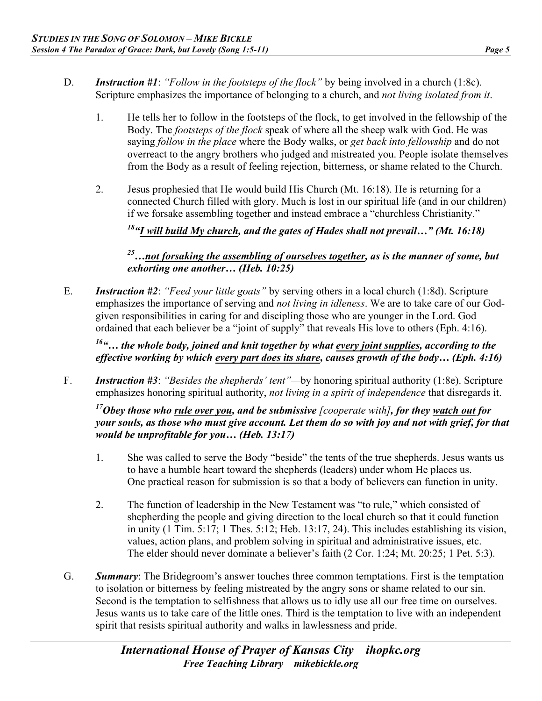- 
- D. *Instruction #1*: *"Follow in the footsteps of the flock"* by being involved in a church (1:8c). Scripture emphasizes the importance of belonging to a church, and *not living isolated from it*.
	- 1. He tells her to follow in the footsteps of the flock, to get involved in the fellowship of the Body. The *footsteps of the flock* speak of where all the sheep walk with God. He was saying *follow in the place* where the Body walks, or *get back into fellowship* and do not overreact to the angry brothers who judged and mistreated you. People isolate themselves from the Body as a result of feeling rejection, bitterness, or shame related to the Church.
	- 2. Jesus prophesied that He would build His Church (Mt. 16:18). He is returning for a connected Church filled with glory. Much is lost in our spiritual life (and in our children) if we forsake assembling together and instead embrace a "churchless Christianity."

*18"I will build My church, and the gates of Hades shall not prevail…" (Mt. 16:18)*

*25…not forsaking the assembling of ourselves together, as is the manner of some, but exhorting one another… (Heb. 10:25)*

E. *Instruction #2*: *"Feed your little goats"* by serving others in a local church (1:8d). Scripture emphasizes the importance of serving and *not living in idleness*. We are to take care of our Godgiven responsibilities in caring for and discipling those who are younger in the Lord. God ordained that each believer be a "joint of supply" that reveals His love to others (Eph. 4:16).

*16"… the whole body, joined and knit together by what every joint supplies, according to the effective working by which every part does its share, causes growth of the body… (Eph. 4:16)* 

F. *Instruction #3*: *"Besides the shepherds' tent"—*by honoring spiritual authority (1:8e). Scripture emphasizes honoring spiritual authority, *not living in a spirit of independence* that disregards it.

*17Obey those who rule over you, and be submissive [cooperate with], for they watch out for your souls, as those who must give account. Let them do so with joy and not with grief, for that would be unprofitable for you… (Heb. 13:17)* 

- 1. She was called to serve the Body "beside" the tents of the true shepherds. Jesus wants us to have a humble heart toward the shepherds (leaders) under whom He places us. One practical reason for submission is so that a body of believers can function in unity.
- 2. The function of leadership in the New Testament was "to rule," which consisted of shepherding the people and giving direction to the local church so that it could function in unity (1 Tim. 5:17; 1 Thes. 5:12; Heb. 13:17, 24). This includes establishing its vision, values, action plans, and problem solving in spiritual and administrative issues, etc. The elder should never dominate a believer's faith (2 Cor. 1:24; Mt. 20:25; 1 Pet. 5:3).
- G. *Summary*: The Bridegroom's answer touches three common temptations. First is the temptation to isolation or bitterness by feeling mistreated by the angry sons or shame related to our sin. Second is the temptation to selfishness that allows us to idly use all our free time on ourselves. Jesus wants us to take care of the little ones. Third is the temptation to live with an independent spirit that resists spiritual authority and walks in lawlessness and pride.